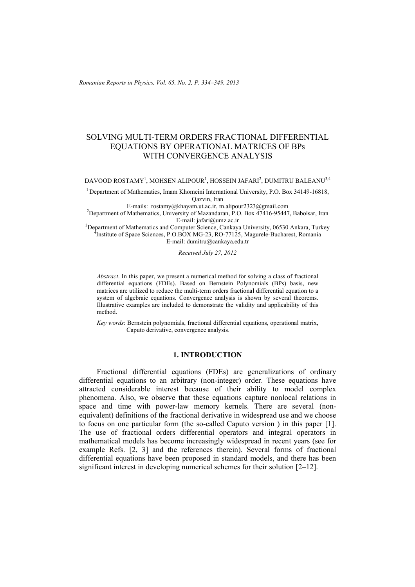# SOLVING MULTI-TERM ORDERS FRACTIONAL DIFFERENTIAL EQUATIONS BY OPERATIONAL MATRICES OF BPs WITH CONVERGENCE ANALYSIS

DAVOOD ROSTAMY<sup>1</sup>, MOHSEN ALIPOUR<sup>1</sup>, HOSSEIN JAFARI<sup>2</sup>, DUMITRU BALEANU<sup>3,4</sup>

1 Department of Mathematics, Imam Khomeini International University, P.O. Box 34149-16818, Qazvin, Iran

E-mails:  $rostamv@khavam.ut.ac.fr. m.alipour2323@gmail.com$ 

<sup>2</sup>Department of Mathematics, University of Mazandaran, P.O. Box 47416-95447, Babolsar, Iran<br>E-mail: jafarj@umz.ac.ir E-mail: jafari@umz.ac.ir<br><sup>3</sup>Department of Methematics and Computer Sejange, Capkeys

Department of Mathematics and Computer Science, Cankaya University, 06530 Ankara, Turkey Institute of Space Sciences, P.O.BOX MG-23, RO-77125, Magurele-Bucharest, Romania E-mail: dumitru@cankaya.edu.tr

*Received July 27, 2012* 

*Abstract*. In this paper, we present a numerical method for solving a class of fractional differential equations (FDEs). Based on Bernstein Polynomials (BPs) basis, new matrices are utilized to reduce the multi-term orders fractional differential equation to a system of algebraic equations. Convergence analysis is shown by several theorems. Illustrative examples are included to demonstrate the validity and applicability of this method.

*Key words*: Bernstein polynomials, fractional differential equations, operational matrix, Caputo derivative, convergence analysis.

## **1. INTRODUCTION**

Fractional differential equations (FDEs) are generalizations of ordinary differential equations to an arbitrary (non-integer) order. These equations have attracted considerable interest because of their ability to model complex phenomena. Also, we observe that these equations capture nonlocal relations in space and time with power-law memory kernels. There are several (nonequivalent) definitions of the fractional derivative in widespread use and we choose to focus on one particular form (the so-called Caputo version ) in this paper [1]. The use of fractional orders differential operators and integral operators in mathematical models has become increasingly widespread in recent years (see for example Refs. [2, 3] and the references therein). Several forms of fractional differential equations have been proposed in standard models, and there has been significant interest in developing numerical schemes for their solution [2–12].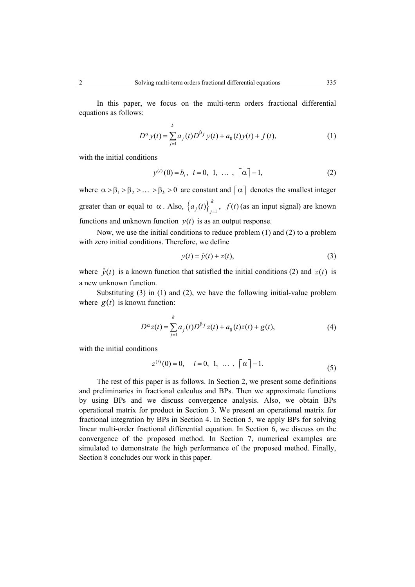In this paper, we focus on the multi-term orders fractional differential equations as follows:

$$
D^{\alpha} y(t) = \sum_{j=1}^{k} a_j(t) D^{\beta j} y(t) + a_0(t) y(t) + f(t),
$$
 (1)

with the initial conditions

$$
y^{(i)}(0) = b_i, \ i = 0, 1, \ \dots \ , \ \lceil \alpha \rceil - 1,
$$
 (2)

where  $\alpha > \beta_1 > \beta_2 > ... > \beta_k > 0$  are constant and  $\lceil \alpha \rceil$  denotes the smallest integer greater than or equal to  $\alpha$ . Also,  $\left\{a_j(t)\right\}_{j=1}^k$ ,  $f(t)$  $a_j(t)$ ,  $f(t)$  (as an input signal) are known functions and unknown function  $y(t)$  is as an output response.

Now, we use the initial conditions to reduce problem (1) and (2) to a problem with zero initial conditions. Therefore, we define

$$
y(t) = \hat{y}(t) + z(t),
$$
\n(3)

where  $\hat{y}(t)$  is a known function that satisfied the initial conditions (2) and  $z(t)$  is a new unknown function.

Substituting (3) in (1) and (2), we have the following initial-value problem where  $g(t)$  is known function:

$$
D^{\alpha} z(t) = \sum_{j=1}^{k} a_j(t) D^{\beta j} z(t) + a_0(t) z(t) + g(t),
$$
 (4)

with the initial conditions

$$
z^{(i)}(0) = 0, \quad i = 0, 1, \ldots, \lceil \alpha \rceil - 1.
$$
 (5)

The rest of this paper is as follows. In Section 2, we present some definitions and preliminaries in fractional calculus and BPs. Then we approximate functions by using BPs and we discuss convergence analysis. Also, we obtain BPs operational matrix for product in Section 3. We present an operational matrix for fractional integration by BPs in Section 4. In Section 5, we apply BPs for solving linear multi-order fractional differential equation. In Section 6, we discuss on the convergence of the proposed method. In Section 7, numerical examples are simulated to demonstrate the high performance of the proposed method. Finally, Section 8 concludes our work in this paper.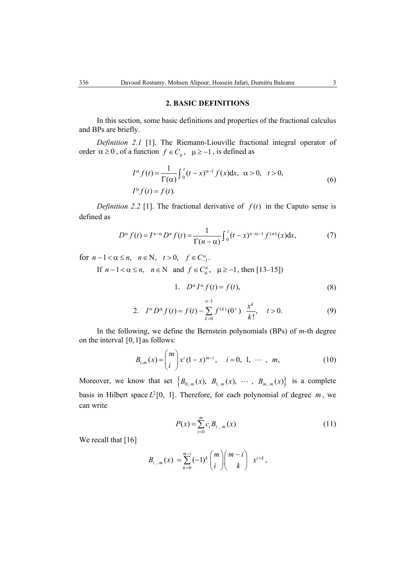#### **2. BASIC DEFINITIONS**

In this section, some basic definitions and properties of the fractional calculus and BPs are briefly.

*Definition 2.1* [1]. The Riemann-Liouville fractional integral operator of order  $\alpha \ge 0$ , of a function  $f \in C_{\mu}$ ,  $\mu \ge -1$ , is defined as

$$
I^{\alpha} f(t) = \frac{1}{\Gamma(\alpha)} \int_0^t (t - x)^{\alpha - 1} f(x) dx, \ \alpha > 0, \ t > 0,
$$
  

$$
I^0 f(t) = f(t).
$$
 (6)

*Definition 2.2* [1]. The fractional derivative of  $f(t)$  in the Caputo sense is defined as

$$
D^{\alpha} f(t) = I^{n-\alpha} D^n f(t) = \frac{1}{\Gamma(n-\alpha)} \int_0^t (t-x)^{n-\alpha-1} f^{(n)}(x) dx,
$$
 (7)

for  $n - 1 < \alpha \le n$ ,  $n \in \mathbb{N}$ ,  $t > 0$ ,  $f \in C_{-1}^n$ . If  $n-1 < \alpha \le n$ ,  $n \in \mathbb{N}$  and  $f \in C_{\mathfrak{u}}^n$ ,  $\mu \ge -1$ , then [13–15])

1. 
$$
D^{\alpha} I^{\alpha} f(t) = f(t),
$$
 (8)

2. 
$$
I^{\alpha}D^{\alpha}f(t) = f(t) - \sum_{k=0}^{n-1} f^{(k)}(0^+) \frac{x^k}{k!}, \quad t > 0.
$$
 (9)

In the following, we define the Bernstein polynomials (BPs) of *m*-th degree on the interval [0,1] as follows:

$$
B_{i,m}(x) = {m \choose i} x^{i} (1-x)^{m-i}, \quad i = 0, 1, \cdots, m,
$$
 (10)

Moreover, we know that set  $\{B_{0,m}(x), B_{1,m}(x), \cdots, B_{m,m}(x)\}$  is a complete basis in Hilbert space  $L^2[0, 1]$ . Therefore, for each polynomial of degree  $m$ , we can write

$$
P(x) = \sum_{i=0}^{m} c_i B_{i,m}(x)
$$
 (11)

We recall that [16]

$$
B_{i,m}(x) = \sum_{k=0}^{m-i} (-1)^k {m \choose i} {m-i \choose k} x^{i+k},
$$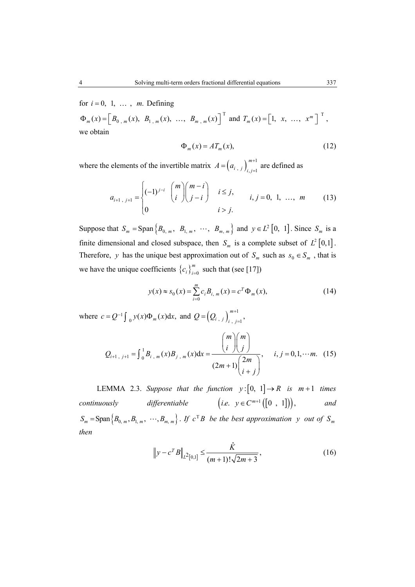for  $i = 0, 1, \ldots, m$ . Defining

 $\Phi_m(x) = \left[ B_{0,m}(x), B_{1,m}(x), \ldots, B_{m,m}(x) \right]^{\mathrm{T}}$  and  $T_m(x) = \left[ 1, x, \ldots, x^m \right]^{\mathrm{T}}$ , we obtain

$$
\Phi_m(x) = AT_m(x),\tag{12}
$$

where the elements of the invertible matrix  $A = (a_{i,j})_{i,j=1}^{m+1}$ *m*  $A = (a_{i,j})_{i,j=1}^{m+1}$  are defined as

$$
a_{i+1, j+1} = \begin{cases} (-1)^{j-i} & \binom{m}{i} \binom{m-i}{j-i} & i \leq j, \\ 0 & i > j. \end{cases} \quad i, j = 0, 1, \dots, m \tag{13}
$$

Suppose that  $S_m = \text{Span} \{ B_{0, m}, B_{1, m}, \cdots, B_{m, m} \}$  and  $y \in L^2[0, 1]$ . Since  $S_m$  is a finite dimensional and closed subspace, then  $S_m$  is a complete subset of  $L^2 [0,1]$ . Therefore, *y* has the unique best approximation out of  $S_m$  such as  $s_0 \in S_m$ , that is we have the unique coefficients  ${c_i}_{i=0}^m$  such that (see [17])

$$
y(x) \approx s_0(x) = \sum_{i=0}^{m} c_i B_{i,m}(x) = c^T \Phi_m(x),
$$
 (14)

where  $c = Q^{-1} \int_{0}^{1} y(x) \Phi_{m}(x) dx$ , and  $Q = (Q_{i,j})_{i,j=1}^{m+1}$  $Q = (Q_{i,j})_{i,j=1}^{m+1}$ 

$$
Q_{i+1, j+1} = \int_0^1 B_{i, m}(x) B_{j, m}(x) dx = \frac{{\binom{m}{i}} {\binom{m}{j}}}{{\binom{2m}{i+j}}}, \quad i, j = 0, 1, \cdots m. \tag{15}
$$

LEMMA 2.3. Suppose that the function  $y:[0, 1] \rightarrow R$  is  $m+1$  times *continuously differentiable*  $(i.e. y \in C^{m+1}([0, 1]),$  and  $S_m = \text{Span} \{ B_{0, m}, B_{1, m}, \cdots, B_{m, m} \}$ . *If*  $c^T B$  *be the best approximation y out of*  $S_m$ *then*

$$
\left\| y - c^T B \right\|_{L^2[0,1]} \le \frac{\hat{K}}{(m+1)! \sqrt{2m+3}},\tag{16}
$$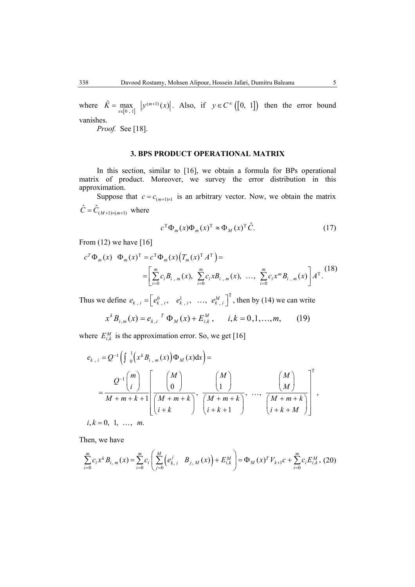where  $\hat{K} = \max_{x \in [0, 1]}$  $(m+1)$  $\hat{K} = \max_{x \in [0, 1]} |y^{(m+1)}(x)|$ . Also, if  $y \in C^{\infty}([0, 1])$  then the error bound vanishes.

*Proof.* See [18].

#### **3. BPS PRODUCT OPERATIONAL MATRIX**

In this section, similar to [16], we obtain a formula for BPs operational matrix of product. Moreover, we survey the error distribution in this approximation.

Suppose that  $c = c_{(m+1)\times 1}$  is an arbitrary vector. Now, we obtain the matrix  $\hat{C} = \hat{C}_{(M+1)\times(m+1)}$  where

$$
c^{\mathrm{T}}\Phi_m(x)\Phi_m(x)^{\mathrm{T}} \approx \Phi_M(x)^{\mathrm{T}}\hat{C}.\tag{17}
$$

From  $(12)$  we have  $[16]$ 

$$
c^{T} \Phi_{m}(x) \Phi_{m}(x)^{T} = c^{T} \Phi_{m}(x) (T_{m}(x)^{T} A^{T}) =
$$
  
= 
$$
\left[ \sum_{i=0}^{m} c_{i} B_{i,m}(x), \sum_{i=0}^{m} c_{i} x B_{i,m}(x), \dots, \sum_{i=0}^{m} c_{i} x^{m} B_{i,m}(x) \right] A^{T}.
$$
<sup>(18)</sup>

Thus we define  $e_{k, i} = \begin{bmatrix} e_{k, i}^0, & e_{k, i}^1, & \dots, & e_{k, i}^M \end{bmatrix}^T$ , then by (14) we can write

$$
x^{k} B_{i,m}(x) = e_{k,i}^{T} \Phi_M(x) + E_{i,k}^{M}, \quad i,k = 0,1,...,m,
$$
 (19)

where  $E_{i,k}^M$  is the approximation error. So, we get [16]

$$
e_{k,i} = Q^{-1} \left( \int_0^1 \left( x^k B_{i,m}(x) \right) \Phi_M(x) dx \right) =
$$
  
= 
$$
\frac{Q^{-1} \begin{pmatrix} m \\ i \end{pmatrix}}{M+m+k+1} \left[ \frac{\begin{pmatrix} M \\ 0 \end{pmatrix}}{\begin{pmatrix} M+m+k \\ i+k \end{pmatrix}}, \frac{\begin{pmatrix} M \\ 1 \end{pmatrix}}{\begin{pmatrix} M+m+k \\ i+k+1 \end{pmatrix}}, \dots, \frac{\begin{pmatrix} M \\ M \end{pmatrix}}{\begin{pmatrix} M+m+k \\ i+k+M \end{pmatrix}} \right]^T
$$
,  
*i, k* = 0, 1, ..., *m*.

Then, we have

$$
\sum_{i=0}^{m} c_i x^k B_{i,m}(x) = \sum_{i=0}^{m} c_i \left( \sum_{j=0}^{M} \left( e_{k,i}^j B_{j,M}(x) \right) + E_{i,k}^{M} \right) = \Phi_M(x)^T V_{k+1} c + \sum_{i=0}^{m} c_i E_{i,k}^{M}, (20)
$$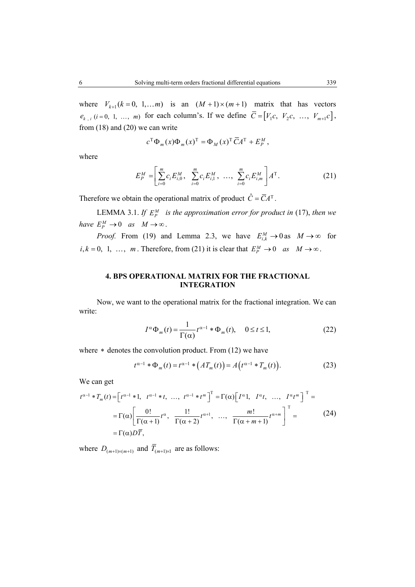where  $V_{k+1}$  ( $k = 0, 1, \ldots m$ ) is an  $(M + 1) \times (m + 1)$  matrix that has vectors  $e_{k, i}$  (*i* = 0, 1, ..., *m*) for each column's. If we define  $\overline{C} = [V_1c, V_2c, ..., V_{m+1}c]$ , from (18) and (20) we can write

$$
c^{\mathrm{T}}\Phi_m(x)\Phi_m(x)^{\mathrm{T}} = \Phi_M(x)^{\mathrm{T}}\overline{C}A^{\mathrm{T}} + E^M_p,
$$

where

$$
E_P^M = \left[ \sum_{i=0}^m c_i E_{i,0}^M, \sum_{i=0}^m c_i E_{i,1}^M, \dots, \sum_{i=0}^m c_i E_{i,m}^M \right] A^{\mathrm{T}}.
$$
 (21)

Therefore we obtain the operational matrix of product  $\hat{C} = \overline{C}A^{T}$ .

LEMMA 3.1. *If*  $E_P^M$  *is the approximation error for product in* (17), *then we have*  $E_p^M \to 0$  *as*  $M \to \infty$ .

*Proof.* From (19) and Lemma 2.3, we have  $E_{i,k}^M \to 0$  as  $M \to \infty$  for  $i, k = 0, 1, \ldots, m$ . Therefore, from (21) it is clear that  $E_p^M \to 0$  as  $M \to \infty$ .

## **4. BPS OPERATIONAL MATRIX FOR THE FRACTIONAL INTEGRATION**

Now, we want to the operational matrix for the fractional integration. We can write:

$$
I^{\alpha} \Phi_m(t) = \frac{1}{\Gamma(\alpha)} t^{\alpha - 1} * \Phi_m(t), \quad 0 \le t \le 1,
$$
 (22)

where  $*$  denotes the convolution product. From  $(12)$  we have

$$
t^{\alpha-1} * \Phi_m(t) = t^{\alpha-1} * (AT_m(t)) = A(t^{\alpha-1} * T_m(t)).
$$
 (23)

We can get

$$
t^{\alpha-1} * T_m(t) = \begin{bmatrix} t^{\alpha-1} * 1, & t^{\alpha-1} * t, & \dots, & t^{\alpha-1} * t^m \end{bmatrix}^T = \Gamma(\alpha) \begin{bmatrix} I^{\alpha} 1, & I^{\alpha} t, & \dots, & I^{\alpha} t^m \end{bmatrix}^T =
$$
  
\n
$$
= \Gamma(\alpha) \begin{bmatrix} 0! & & 1! \\ \Gamma(\alpha+1) & \Gamma(\alpha+2) & \dots, & \frac{m!}{\Gamma(\alpha+m+1)} t^{\alpha+m} \end{bmatrix}^T =
$$
  
\n
$$
= \Gamma(\alpha) D\overline{T}, \qquad (24)
$$

where  $D_{(m+1)\times(m+1)}$  and  $\overline{T}_{(m+1)\times 1}$  are as follows: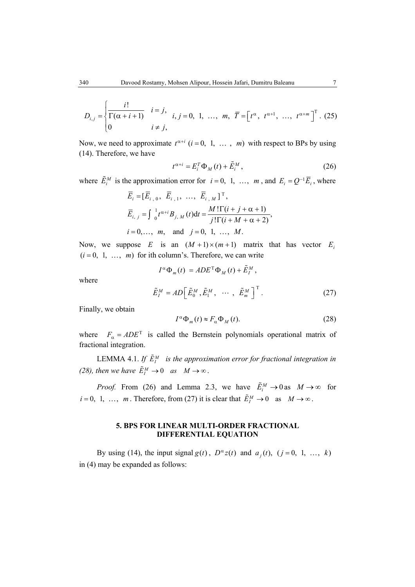$$
D_{i,j} = \begin{cases} \frac{i!}{\Gamma(\alpha + i + 1)} & i = j, \\ 0 & i \neq j, \end{cases} \quad i, j = 0, 1, \dots, m, \quad \overline{T} = \begin{bmatrix} t^{\alpha}, & t^{\alpha + 1}, \dots, t^{\alpha + m} \end{bmatrix}^{\mathrm{T}}. \tag{25}
$$

Now, we need to approximate  $t^{\alpha+i}$   $(i = 0, 1, \ldots, m)$  with respect to BPs by using (14). Therefore, we have

$$
t^{\alpha+i} = E_i^T \Phi_M(t) + \tilde{E}_i^M,
$$
\n(26)

where  $\tilde{E}_i^M$  is the approximation error for  $i = 0, 1, ..., m$ , and  $E_i = Q^{-1} \overline{E}_i$ , where

$$
\overline{E}_i = [\overline{E}_{i,0}, \overline{E}_{i,1}, \dots, \overline{E}_{i,M}]^T,
$$
  
\n
$$
\overline{E}_{i,j} = \int_0^1 t^{\alpha+i} B_{j,M}(t) dt = \frac{M! \Gamma(i+j+\alpha+1)}{j! \Gamma(i+M+\alpha+2)},
$$
  
\n $i = 0, ..., m, \text{ and } j = 0, 1, ..., M.$ 

Now, we suppose *E* is an  $(M + 1) \times (m + 1)$  matrix that has vector *E<sub>i</sub>*  $(i = 0, 1, \ldots, m)$  for ith column's. Therefore, we can write

$$
I^{\alpha} \Phi_{m}(t) = A D E^{T} \Phi_{M}(t) + \tilde{E}_{I}^{M},
$$

where

$$
\tilde{E}_I^M = AD\Big[\tilde{E}_0^M, \tilde{E}_1^M, \cdots, \tilde{E}_m^M\Big]^T.
$$
 (27)

Finally, we obtain

$$
I^{\alpha} \Phi_m(t) \approx F_{\alpha} \Phi_M(t). \tag{28}
$$

where  $F_{\alpha} = ADE^{T}$  is called the Bernstein polynomials operational matrix of fractional integration.

LEMMA 4.1. If  $\tilde{E}^M_l$  is the approximation error for fractional integration in *(28), then we have*  $\tilde{E}^M_I \to 0$  *as*  $M \to \infty$ .

*Proof.* From (26) and Lemma 2.3, we have  $\tilde{E}_i^M \to 0$  as  $M \to \infty$  for  $i = 0, 1, \ldots, m$ . Therefore, from (27) it is clear that  $\tilde{E}_I^M \to 0$  as  $M \to \infty$ .

# **5. BPS FOR LINEAR MULTI-ORDER FRACTIONAL DIFFERENTIAL EQUATION**

By using (14), the input signal  $g(t)$ ,  $D^{\alpha}z(t)$  and  $a_i(t)$ ,  $(j=0, 1, ..., k)$ in (4) may be expanded as follows: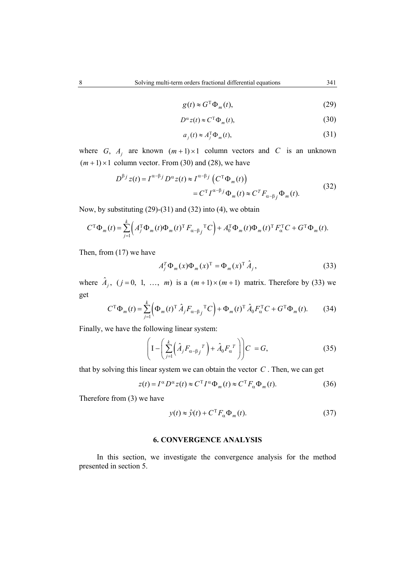$$
g(t) \approx G^{\mathrm{T}} \Phi_m(t), \tag{29}
$$

$$
D^{\alpha} z(t) \approx C^{\mathrm{T}} \Phi_{m}(t), \tag{30}
$$

$$
a_j(t) \approx A_j^{\mathrm{T}} \Phi_m(t),\tag{31}
$$

where G,  $A_j$  are known  $(m+1) \times 1$  column vectors and C is an unknown  $(m+1) \times 1$  column vector. From (30) and (28), we have

$$
D^{\beta j} z(t) = I^{\alpha - \beta j} D^{\alpha} z(t) \approx I^{\alpha - \beta j} (C^{T} \Phi_{m}(t))
$$
  
=  $C^{T} I^{\alpha - \beta j} \Phi_{m}(t) \approx C^{T} F_{\alpha - \beta j} \Phi_{m}(t).$  (32)

Now, by substituting (29)-(31) and (32) into (4), we obtain

$$
C^{\mathrm{T}}\Phi_{m}(t) = \sum_{j=1}^{k} \left( A_{j}^{\mathrm{T}}\Phi_{m}(t)\Phi_{m}(t)^{\mathrm{T}} F_{\alpha-\beta_{j}}^{\mathrm{T}}C \right) + A_{0}^{\mathrm{T}}\Phi_{m}(t)\Phi_{m}(t)^{\mathrm{T}} F_{\alpha}^{\mathrm{T}}C + G^{\mathrm{T}}\Phi_{m}(t).
$$

Then, from (17) we have

$$
A_j^T \Phi_m(x) \Phi_m(x)^T = \Phi_m(x)^T \hat{A}_j,
$$
\n(33)

where  $\hat{A}_i$ ,  $(j = 0, 1, ..., m)$  is a  $(m+1) \times (m+1)$  matrix. Therefore by (33) we get

$$
C^{\mathrm{T}}\Phi_{m}(t) = \sum_{j=1}^{k} \left(\Phi_{m}(t)^{\mathrm{T}}\hat{A}_{j}F_{\alpha-\beta_{j}}{}^{\mathrm{T}}C\right) + \Phi_{m}(t)^{\mathrm{T}}\hat{A}_{0}F_{\alpha}^{\mathrm{T}}C + G^{\mathrm{T}}\Phi_{m}(t). \tag{34}
$$

Finally, we have the following linear system:

$$
\left(I - \left(\sum_{j=1}^{k} \left(\hat{A}_{j} F_{\alpha - \beta}^T\right) + \hat{A}_{0} F_{\alpha}^T\right)\right) C = G,\tag{35}
$$

that by solving this linear system we can obtain the vector *C* . Then, we can get

$$
z(t) = I^{\alpha} D^{\alpha} z(t) \approx C^{T} I^{\alpha} \Phi_{m}(t) \approx C^{T} F_{\alpha} \Phi_{m}(t).
$$
 (36)

Therefore from (3) we have

$$
y(t) \approx \hat{y}(t) + C^{\mathrm{T}} F_{\alpha} \Phi_m(t). \tag{37}
$$

#### **6. CONVERGENCE ANALYSIS**

In this section, we investigate the convergence analysis for the method presented in section 5.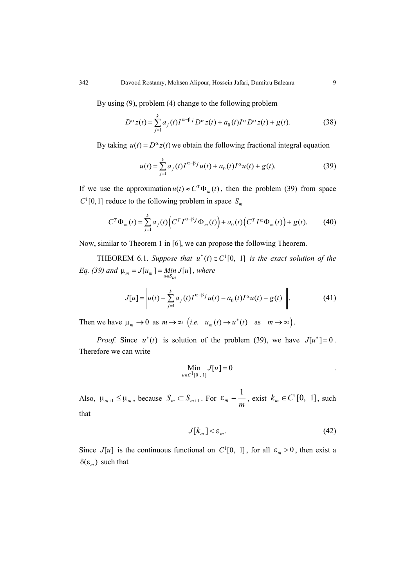By using (9), problem (4) change to the following problem

$$
D^{\alpha} z(t) = \sum_{j=1}^{k} a_j(t) I^{\alpha-\beta} D^{\alpha} z(t) + a_0(t) I^{\alpha} D^{\alpha} z(t) + g(t).
$$
 (38)

By taking  $u(t) = D^{\alpha} z(t)$  we obtain the following fractional integral equation

$$
u(t) = \sum_{j=1}^{k} a_j(t) I^{\alpha-\beta} u(t) + a_0(t) I^{\alpha} u(t) + g(t).
$$
 (39)

If we use the approximation  $u(t) \approx C^{T} \Phi_{m}(t)$ , then the problem (39) from space  $C^1[0,1]$  reduce to the following problem in space  $S_m$ 

$$
C^{T} \Phi_{m}(t) = \sum_{j=1}^{k} a_{j}(t) \Big( C^{T} I^{\alpha - \beta} \phi_{m}(t) \Big) + a_{0}(t) \Big( C^{T} I^{\alpha} \Phi_{m}(t) \Big) + g(t). \tag{40}
$$

Now, similar to Theorem 1 in [6], we can propose the following Theorem.

THEOREM 6.1. Suppose that  $u^*(t) \in C^1[0, 1]$  is the exact solution of the *Eq. (39)* and  $\mu_m = J[u_m] = Min J[u]$ , where

$$
J[u] = \left| u(t) - \sum_{j=1}^{k} a_j(t) I^{\alpha-\beta} j u(t) - a_0(t) I^{\alpha} u(t) - g(t) \right|.
$$
 (41)

Then we have  $\mu_m \to 0$  as  $m \to \infty$  (*i.e.*  $u_m(t) \to u^*(t)$  as  $m \to \infty$ ).

*Proof.* Since  $u^*(t)$  is solution of the problem (39), we have  $J[u^*]=0$ . Therefore we can write

$$
\min_{u \in C^{1}[0, 1]} J[u] = 0
$$

Also,  $\mu_{m+1} \leq \mu_m$ , because  $S_m \subset S_{m+1}$ . For 1  $\varepsilon_m = \frac{1}{m}$ , exist  $k_m \in C^1[0, 1]$ , such that

$$
J[k_m] < \varepsilon_m. \tag{42}
$$

Since  $J[u]$  is the continuous functional on  $C^1[0, 1]$ , for all  $\varepsilon_m > 0$ , then exist a  $\delta(\varepsilon_m)$  such that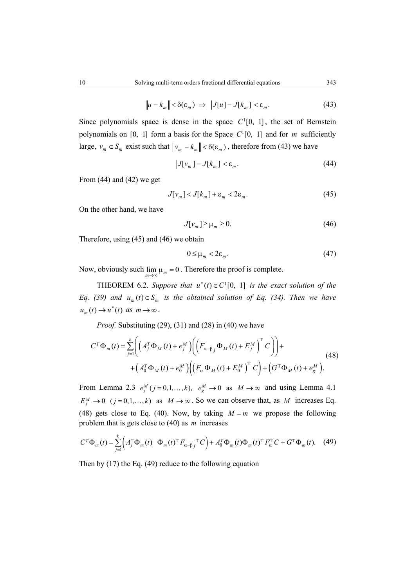$$
\|u - k_m\| < \delta(\varepsilon_m) \implies \left|J[u] - J[k_m]\right| < \varepsilon_m. \tag{43}
$$

Since polynomials space is dense in the space  $C^1[0, 1]$ , the set of Bernstein polynomials on [0, 1] form a basis for the Space  $C^1[0, 1]$  and for *m* sufficiently large,  $v_m \in S_m$  exist such that  $||v_m - k_m|| < \delta(\varepsilon_m)$ , therefore from (43) we have

$$
\left| J[v_m] - J[k_m] \right| < \varepsilon_m. \tag{44}
$$

From  $(44)$  and  $(42)$  we get

$$
J[v_m] < J[k_m] + \varepsilon_m < 2\varepsilon_m. \tag{45}
$$

On the other hand, we have

$$
J[v_m] \ge \mu_m \ge 0. \tag{46}
$$

Therefore, using (45) and (46) we obtain

$$
0 \le \mu_m < 2\varepsilon_m. \tag{47}
$$

Now, obviously such  $\lim_{m\to\infty}\mu_m = 0$ . Therefore the proof is complete.

THEOREM 6.2. Suppose that  $u^*(t) \in C^1[0, 1]$  is the exact solution of the *Eq. (39) and*  $u_m(t) \in S_m$  *is the obtained solution of Eq. (34). Then we have*  $u_m(t) \rightarrow u^*(t)$  as  $m \rightarrow \infty$ .

*Proof.* Substituting (29), (31) and (28) in (40) we have

$$
C^T \Phi_m(t) = \sum_{j=1}^k \left( \left( A_j^T \Phi_M(t) + e_j^M \right) \left( \left( F_{\alpha-\beta_j} \Phi_M(t) + E_j^M \right)^T C \right) \right) +
$$
  
+ 
$$
\left( A_0^T \Phi_M(t) + e_0^M \right) \left( \left( F_{\alpha} \Phi_M(t) + E_0^M \right)^T C \right) + \left( G^T \Phi_M(t) + e_g^M \right).
$$
 (48)

From Lemma 2.3  $e_j^M(j=0,1,\ldots,k)$ ,  $e_g^M \to 0$  as  $M \to \infty$  and using Lemma 4.1  $E_i^M \to 0$  ( $j = 0,1,...,k$ ) as  $M \to \infty$ . So we can observe that, as M increases Eq. (48) gets close to Eq. (40). Now, by taking  $M = m$  we propose the following problem that is gets close to (40) as *m* increases

$$
C^T \Phi_m(t) = \sum_{j=1}^k \left( A_j^T \Phi_m(t) \Phi_m(t)^T F_{\alpha-\beta_j}^T C \right) + A_0^T \Phi_m(t) \Phi_m(t)^T F_\alpha^T C + G^T \Phi_m(t). \tag{49}
$$

Then by (17) the Eq. (49) reduce to the following equation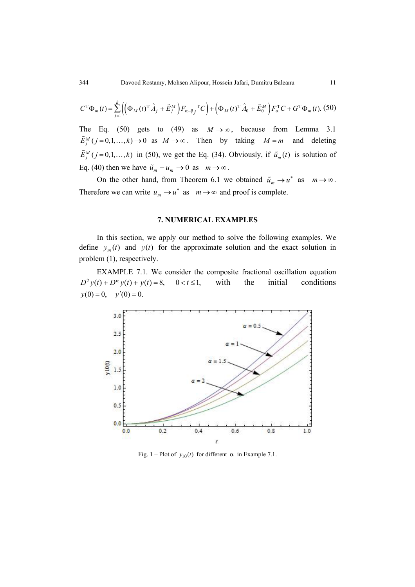$$
C^{\mathrm{T}}\Phi_{m}(t) = \sum_{j=1}^{k} \left( \left( \Phi_{M}(t)^{\mathrm{T}}\hat{A}_{j} + \tilde{E}_{j}^{M} \right) F_{\alpha-\beta_{j}}{}^{\mathrm{T}}C \right) + \left( \Phi_{M}(t)^{\mathrm{T}}\hat{A}_{0} + \tilde{E}_{0}^{M} \right) F_{\alpha}{}^{\mathrm{T}}C + G^{\mathrm{T}}\Phi_{m}(t). \tag{50}
$$

The Eq. (50) gets to (49) as  $M \rightarrow \infty$ , because from Lemma 3.1  $\tilde{E}_j^M(j=0,1,\ldots,k) \to 0$  as  $M \to \infty$ . Then by taking  $M = m$  and deleting  $\tilde{E}^M_j$  ( $j = 0,1,...,k$ ) in (50), we get the Eq. (34). Obviously, if  $\tilde{u}_m(t)$  is solution of Eq. (40) then we have  $\tilde{u}_m - u_m \to 0$  as  $m \to \infty$ .

On the other hand, from Theorem 6.1 we obtained  $\tilde{u}_m \to u^*$  as  $m \to \infty$ . Therefore we can write  $u_m \to u^*$  as  $m \to \infty$  and proof is complete.

### **7. NUMERICAL EXAMPLES**

In this section, we apply our method to solve the following examples. We define  $y_m(t)$  and  $y(t)$  for the approximate solution and the exact solution in problem (1), respectively.

EXAMPLE 7.1. We consider the composite fractional oscillation equation  $D^2 y(t) + D^{\alpha} y(t) + y(t) = 8$ ,  $0 < t \le 1$ , with the initial conditions  $y(0) = 0$ ,  $y'(0) = 0$ .



Fig. 1 – Plot of  $y_{10}(t)$  for different  $\alpha$  in Example 7.1.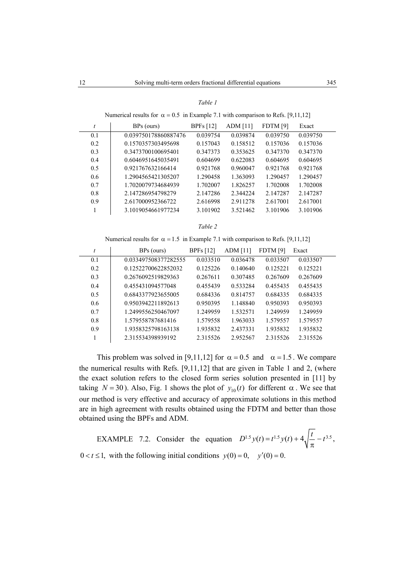#### *Table 1*

Numerical results for  $\alpha = 0.5$  in Example 7.1 with comparison to Refs. [9,11,12]

| t   | BPs (ours)           | <b>BPFs</b> [12] | ADM $[11]$ | <b>FDTM</b> [9] | Exact    |  |
|-----|----------------------|------------------|------------|-----------------|----------|--|
| 0.1 | 0.039750178860887476 | 0.039754         | 0.039874   | 0.039750        | 0.039750 |  |
| 0.2 | 0.1570357303495698   | 0.157043         | 0.158512   | 0.157036        | 0.157036 |  |
| 0.3 | 0.3473700100695401   | 0.347373         | 0.353625   | 0.347370        | 0.347370 |  |
| 0.4 | 0.6046951645035491   | 0.604699         | 0.622083   | 0.604695        | 0.604695 |  |
| 0.5 | 0.921767632166414    | 0.921768         | 0.960047   | 0.921768        | 0.921768 |  |
| 0.6 | 1.2904565421305207   | 1.290458         | 1.363093   | 1 290457        | 1.290457 |  |
| 0.7 | 1.7020079734684939   | 1.702007         | 1.826257   | 1.702008        | 1.702008 |  |
| 0.8 | 2.147286954798279    | 2.147286         | 2.344224   | 2.147287        | 2.147287 |  |
| 0.9 | 2.617000952366722    | 2.616998         | 2.911278   | 2.617001        | 2.617001 |  |
|     | 3.1019054661977234   | 3.101902         | 3.521462   | 3.101906        | 3.101906 |  |
|     |                      |                  |            |                 |          |  |

*Table 2* 

Numerical results for  $\alpha = 1.5$  in Example 7.1 with comparison to Refs. [9,11,12]

| t   | BPs (ours)           | <b>BPFs</b> [12] | <b>ADM</b> [11] | <b>FDTM</b> [9] | Exact    |
|-----|----------------------|------------------|-----------------|-----------------|----------|
| 0.1 | 0.033497508377282555 | 0.033510         | 0.036478        | 0.033507        | 0.033507 |
| 0.2 | 0.12522700622852032  | 0.125226         | 0.140640        | 0.125221        | 0.125221 |
| 0.3 | 0.2676092519829363   | 0.267611         | 0.307485        | 0.267609        | 0.267609 |
| 0.4 | 0.455431094577048    | 0.455439         | 0.533284        | 0.455435        | 0.455435 |
| 0.5 | 0.6843377923655005   | 0.684336         | 0.814757        | 0.684335        | 0.684335 |
| 0.6 | 0.9503942211892613   | 0.950395         | 1.148840        | 0.950393        | 0.950393 |
| 0.7 | 1.2499556250467097   | 1.249959         | 1.532571        | 1.249959        | 1.249959 |
| 0.8 | 1.579558787681416    | 1.579558         | 1.963033        | 1.579557        | 1.579557 |
| 0.9 | 1.9358325798163138   | 1.935832         | 2.437331        | 1.935832        | 1.935832 |
|     | 2.315534398939192    | 2.315526         | 2.952567        | 2315526         | 2.315526 |

This problem was solved in [9,11,12] for  $\alpha = 0.5$  and  $\alpha = 1.5$ . We compare the numerical results with Refs. [9,11,12] that are given in Table 1 and 2, (where the exact solution refers to the closed form series solution presented in [11] by taking  $N = 30$ ). Also, Fig. 1 shows the plot of  $y_{10}(t)$  for different  $\alpha$ . We see that our method is very effective and accuracy of approximate solutions in this method are in high agreement with results obtained using the FDTM and better than those obtained using the BPFs and ADM.

EXAMPLE 7.2. Consider the equation  $D^{1.5} y(t) = t^{1.5} y(t) + 4 \sqrt{\frac{t}{C}} - t^{3.5}$ , π  $0 < t \le 1$ , with the following initial conditions  $y(0) = 0$ ,  $y'(0) = 0$ .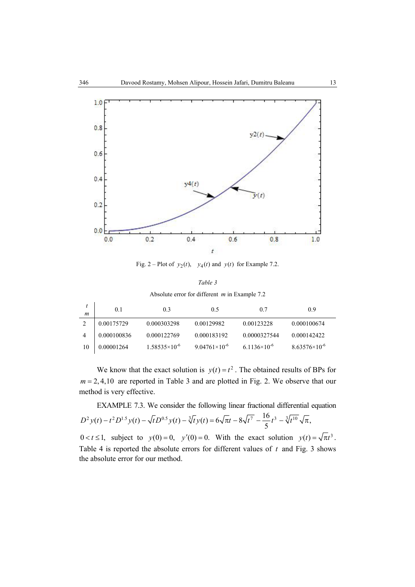

Fig. 2 – Plot of  $y_2(t)$ ,  $y_4(t)$  and  $y(t)$  for Example 7.2.

*Table 3* 

| Absolute error for different $m$ in Example 7.2 |  |
|-------------------------------------------------|--|
|-------------------------------------------------|--|

| m  | 0.1         | 0.3                    | 0.5                    | 0.7                   | 0.9                    |
|----|-------------|------------------------|------------------------|-----------------------|------------------------|
|    | 0.00175729  | 0.000303298            | 0.00129982             | 0.00123228            | 0.000100674            |
|    | 0.000100836 | 0.000122769            | 0.000183192            | 0.0000327544          | 0.000142422            |
| 10 | 0.00001264  | $1.58535\times10^{-6}$ | $9.04761\times10^{-6}$ | $6.1136\times10^{-6}$ | $8.63576\times10^{-6}$ |

We know that the exact solution is  $y(t) = t^2$ . The obtained results of BPs for  $m = 2, 4, 10$  are reported in Table 3 and are plotted in Fig. 2. We observe that our method is very effective.

EXAMPLE 7.3. We consider the following linear fractional differential equation  $2 D^2 y(t) - t^2 D^{1.5} y(t) - \sqrt{t} D^{0.5} y(t) - \sqrt[3]{t} y(t) = 6\sqrt{\pi t} - 8\sqrt{t^7} - \frac{16}{5} t^3 - \sqrt[3]{t^{10}} \sqrt{\pi},$ 

 $0 < t \le 1$ , subject to  $y(0) = 0$ ,  $y'(0) = 0$ . With the exact solution  $y(t) = \sqrt{\pi}t^3$ . Table 4 is reported the absolute errors for different values of *t* and Fig. 3 shows the absolute error for our method.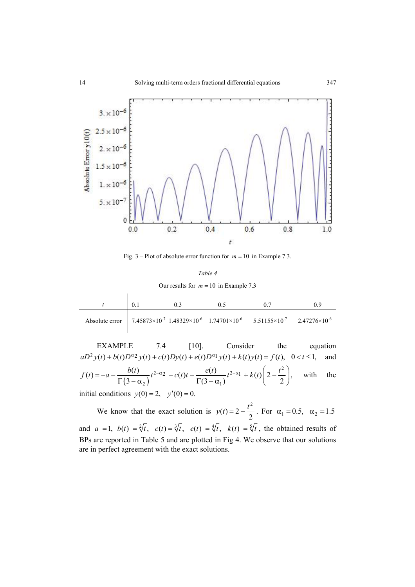

Fig.  $3$  – Plot of absolute error function for  $m = 10$  in Example 7.3.

# *Table 4*  Our results for  $m = 10$  in Example 7.3

|  | 0.5 |                                                                                                                                             |  |
|--|-----|---------------------------------------------------------------------------------------------------------------------------------------------|--|
|  |     | Absolute error 7.45873×10 <sup>-7</sup> 1.48329×10 <sup>-6</sup> 1.74701×10 <sup>-6</sup> 5.51155×10 <sup>-7</sup> 2.47276×10 <sup>-6</sup> |  |

EXAMPLE 7.4 [10]. Consider the equation  $aD^2 y(t) + b(t)D^{\alpha_2} y(t) + c(t)Dy(t) + e(t)D^{\alpha_1} y(t) + k(t) y(t) = f(t), \quad 0 < t \le 1,$  and  $(3-\alpha_2)$  $e^{2-\alpha}$   $-e^{(t)t}$   $-e^{2-\alpha}$   $+ k(t) \left(2 - \frac{t^2}{2} \right)$  $f(t) = -a - \frac{b(t)}{\Gamma(3-\alpha_2)}t^{2-\alpha_2} - c(t)t - \frac{e(t)}{\Gamma(3-\alpha_1)}t^{2-\alpha_1} + k(t)\left(2-\frac{t^2}{2}\right),$  with the initial conditions  $y(0) = 2$ ,  $y'(0) = 0$ .

We know that the exact solution is  $y(t) = 2 - \frac{t^2}{2}$ . For  $\alpha_1 = 0.5$ ,  $\alpha_2 = 1.5$ and  $a = 1$ ,  $b(t) = \sqrt[2]{t}$ ,  $c(t) = \sqrt[3]{t}$ ,  $e(t) = \sqrt[4]{t}$ ,  $k(t) = \sqrt[5]{t}$ , the obtained results of BPs are reported in Table 5 and are plotted in Fig 4. We observe that our solutions are in perfect agreement with the exact solutions.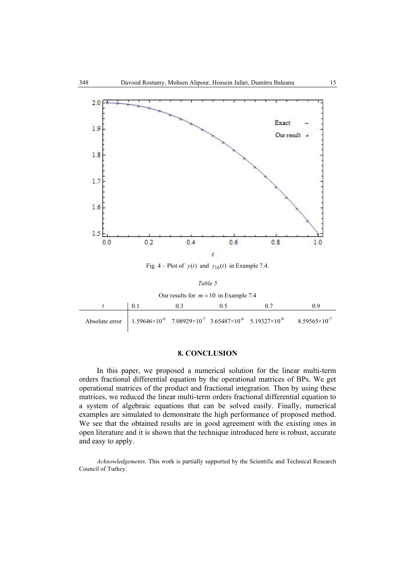

Fig. 4 – Plot of  $y(t)$  and  $y_{10}(t)$  in Example 7.4.

Our results for  $m = 10$  in Example 7.4

|  | 0.5 |                                                                                                                                             |  |
|--|-----|---------------------------------------------------------------------------------------------------------------------------------------------|--|
|  |     | Absolute error 1.59646×10 <sup>-6</sup> 7.08929×10 <sup>-7</sup> 3.65487×10 <sup>-6</sup> 5.19327×10 <sup>-8</sup> 8.59565×10 <sup>-7</sup> |  |

## **8. CONCLUSION**

In this paper, we proposed a numerical solution for the linear multi-term orders fractional differential equation by the operational matrices of BPs. We get operational matrices of the product and fractional integration. Then by using these matrices, we reduced the linear multi-term orders fractional differential equation to a system of algebraic equations that can be solved easily. Finally, numerical examples are simulated to demonstrate the high performance of proposed method. We see that the obtained results are in good agreement with the existing ones in open literature and it is shown that the technique introduced here is robust, accurate and easy to apply.

*Acknowledgements*. This work is partially supported by the Scientific and Technical Research Council of Turkey.